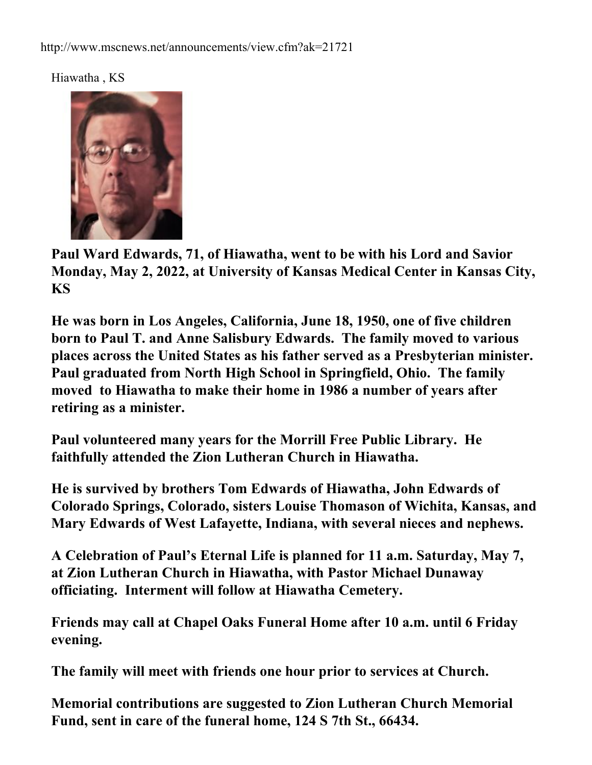Hiawatha , KS



**Paul Ward Edwards, 71, of Hiawatha, went to be with his Lord and Savior Monday, May 2, 2022, at University of Kansas Medical Center in Kansas City, KS**

**He was born in Los Angeles, California, June 18, 1950, one of five children born to Paul T. and Anne Salisbury Edwards. The family moved to various places across the United States as his father served as a Presbyterian minister. Paul graduated from North High School in Springfield, Ohio. The family moved to Hiawatha to make their home in 1986 a number of years after retiring as a minister.**

**Paul volunteered many years for the Morrill Free Public Library. He faithfully attended the Zion Lutheran Church in Hiawatha.**

**He is survived by brothers Tom Edwards of Hiawatha, John Edwards of Colorado Springs, Colorado, sisters Louise Thomason of Wichita, Kansas, and Mary Edwards of West Lafayette, Indiana, with several nieces and nephews.**

**A Celebration of Paul's Eternal Life is planned for 11 a.m. Saturday, May 7, at Zion Lutheran Church in Hiawatha, with Pastor Michael Dunaway officiating. Interment will follow at Hiawatha Cemetery.**

**Friends may call at Chapel Oaks Funeral Home after 10 a.m. until 6 Friday evening.** 

**The family will meet with friends one hour prior to services at Church.**

**Memorial contributions are suggested to Zion Lutheran Church Memorial Fund, sent in care of the funeral home, 124 S 7th St., 66434.**